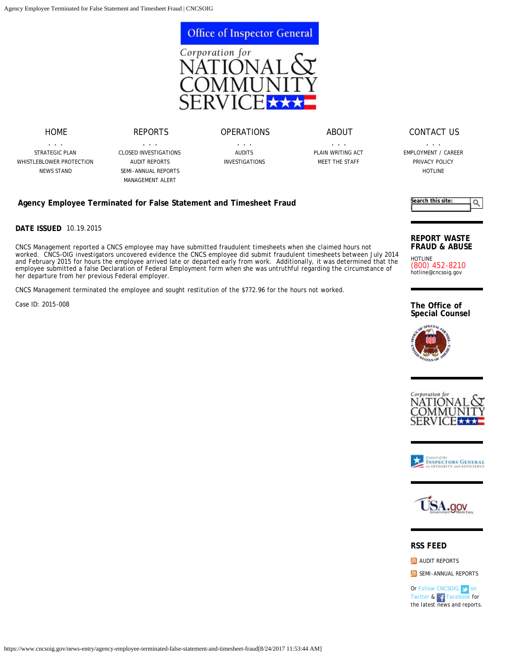

[ABOUT](https://www.cncsoig.gov/about/plain-writing-act)

## [CONTACT US](https://www.cncsoig.gov/contact/general-inquiry)

. . . [EMPLOYMENT / CAREER](https://www.cncsoig.gov/job/employment-career) [PRIVACY POLICY](https://www.cncsoig.gov/privacy-policy) [HOTLINE](https://www.cncsoig.gov/hotline)

**Agency Employee Terminated for False Statement and Timesheet Fraud**

**DATE ISSUED** 10.19.2015

CNCS Management reported a CNCS employee may have submitted fraudulent timesheets when she claimed hours not worked. CNCS-OIG investigators uncovered evidence the CNCS employee did submit fraudulent timesheets between July 2014 and February 2015 for hours the employee arrived late or departed early from work. Additionally, it was determined that the employee submitted a false Declaration of Federal Employment form when she was untruthful regarding the circumstance of her departure from her previous Federal employer.

CNCS Management terminated the employee and sought restitution of the \$772.96 for the hours not worked.

Case ID: 2015-008



## **REPORT WASTE FRAUD & ABUSE**

HOTLINE (800) 452-8210 [hotline@cncsoig.gov](mailto:hotline@cncsoig.gov)

**The Office of Special Counsel**









## **RSS FEED**

**[AUDIT REPORTS](https://www.cncsoig.gov/rss-audit-report.xml)** 

[SEMI-ANNUAL REPORTS](https://www.cncsoig.gov/rss-semi-annual-reports.xml)

Or [Follow CNCSOIG on](https://twitter.com/CNCSOIG) [Twitter](https://twitter.com/CNCSOIG) & F [Facebook](http://www.facebook.com/cncsoig) for the latest news and reports.

[REPORTS](https://www.cncsoig.gov/news/closed-cases) . . . [CLOSED INVESTIGATIONS](https://www.cncsoig.gov/news/closed-cases) [OPERATIONS](https://www.cncsoig.gov/operations/audit-plan) . . . [AUDITS](https://www.cncsoig.gov/fy2017-audit-plan)

[STRATEGIC PLAN](https://www.cncsoig.gov/latest-strategic-plan) [WHISTLEBLOWER PROTECTION](https://www.cncsoig.gov/whistleblower-protection) [NEWS STAND](https://www.cncsoig.gov/news)

[HOME](https://www.cncsoig.gov/) . . .

> [AUDIT REPORTS](https://www.cncsoig.gov/news/audit-reports) [SEMI-ANNUAL REPORTS](https://www.cncsoig.gov/news/semi-annual-reports) [MANAGEMENT ALERT](https://www.cncsoig.gov/about/Management-Alert)

[INVESTIGATIONS](https://www.cncsoig.gov/news/closed-cases)

. . . [PLAIN WRITING ACT](https://www.cncsoig.gov/about/plain-writing-act) [MEET THE STAFF](https://www.cncsoig.gov/about/meet-the-staff)

https://www.cncsoig.gov/news-entry/agency-employee-terminated-false-statement-and-timesheet-fraud[8/24/2017 11:53:44 AM]